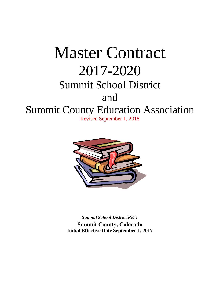# Master Contract 2017-2020 Summit School District and Summit County Education Association Revised September 1, 2018



*Summit School District RE-1* **Summit County, Colorado Initial Effective Date September 1, 2017**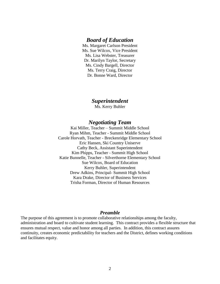# *Board of Education*

Ms. Margaret Carlson President Ms. Sue Wilcox, Vice President Ms. Lisa Webster, Treasurer Dr. Marilyn Taylor, Secretary Ms. Cindy Bargell, Director Ms. Terry Craig, Director Dr. Bonne Ward, Director

# *Superintendent*

Ms. Kerry Buhler

# *Negotiating Team*

Kai Miller, Teacher – Summit Middle School Ryan Mihm, Teacher - Summit Middle School Carole Horvath, Teacher - Breckenridge Elementary School Eric Hansen, Ski Country Uniserve Cathy Beck, Assistant Superintendent Kim Phipps, Teacher - Summit High School Katie Bunnelle, Teacher - Silverthorne Elementary School Sue Wilcox, Board of Education Kerry Buhler, Superintendent Drew Adkins, Principal- Summit High School Kara Drake, Director of Business Services Trisha Forman, Director of Human Resources

#### *Preamble*

<span id="page-1-0"></span>The purpose of this agreement is to promote collaborative relationships among the faculty, administration and board to cultivate student learning. This contract provides a flexible structure that ensures mutual respect, value and honor among all parties. In addition, this contract assures continuity, creates economic predictability for teachers and the District, defines working conditions and facilitates equity.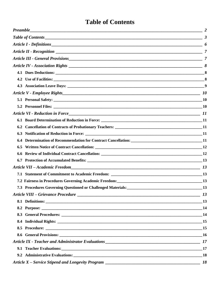# **Table of Contents**

<span id="page-2-0"></span>

| 6.2                                                                                                  |           |
|------------------------------------------------------------------------------------------------------|-----------|
|                                                                                                      |           |
| 6.4 Determination of Recommendation for Contract Cancellation: ___________________________________11 |           |
|                                                                                                      |           |
|                                                                                                      |           |
|                                                                                                      |           |
|                                                                                                      |           |
|                                                                                                      |           |
|                                                                                                      | 13        |
|                                                                                                      | 13        |
|                                                                                                      |           |
| 8.1 Definitions: 13                                                                                  |           |
|                                                                                                      |           |
| 8.3 General Procedures: 14                                                                           |           |
|                                                                                                      |           |
|                                                                                                      |           |
|                                                                                                      | $\_16$    |
|                                                                                                      |           |
|                                                                                                      | 17        |
|                                                                                                      | <b>18</b> |
|                                                                                                      | - 18      |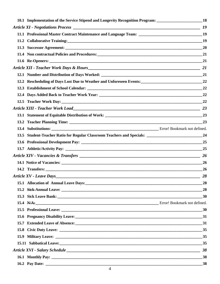| 10.1 Implementation of the Service Stipend and Longevity Recognition Program: ______________________18        |           |
|---------------------------------------------------------------------------------------------------------------|-----------|
|                                                                                                               |           |
| 11.1 Professional Master Contract Maintenance and Language Team: __________________________________19         |           |
| 11.2 Collaborative Training: 19                                                                               |           |
|                                                                                                               | 20        |
| 11.4 Non contractual Policies and Procedures: 21 21                                                           |           |
|                                                                                                               |           |
|                                                                                                               |           |
|                                                                                                               |           |
| 12.2 Rescheduling of Days Lost Due to Weather and Unforeseen Events: 22                                       |           |
|                                                                                                               |           |
|                                                                                                               | 22        |
| 12.5 Teacher Work Day: 22                                                                                     |           |
|                                                                                                               | 23        |
|                                                                                                               |           |
|                                                                                                               | 23        |
|                                                                                                               |           |
| 13.5 Student-Teacher Ratio for Regular Classroom Teachers and Specials: ___________________________________24 |           |
|                                                                                                               | 25        |
|                                                                                                               | 25        |
|                                                                                                               | <b>26</b> |
|                                                                                                               | <b>26</b> |
|                                                                                                               | <b>26</b> |
| Article XV - Leave Days                                                                                       | -28       |
|                                                                                                               | 28        |
| 15.2 Siek-Annual Leave: 15.2 Siek-Annual Leave: 15.2 Siek-Annual Leave: 15.2 Siek-Annual Leave:               | 28        |
|                                                                                                               |           |
| 15.4 N/A: Error! Bookmark not defined.                                                                        |           |
|                                                                                                               |           |
| 15.6 Pregnancy Disability Leave: 31                                                                           |           |
|                                                                                                               |           |
|                                                                                                               |           |
|                                                                                                               |           |
|                                                                                                               |           |
|                                                                                                               |           |
|                                                                                                               |           |
|                                                                                                               |           |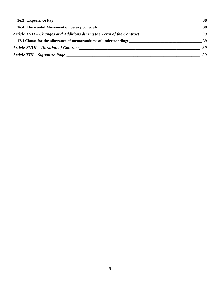|                                                                                                                                                                                                                                | 38        |
|--------------------------------------------------------------------------------------------------------------------------------------------------------------------------------------------------------------------------------|-----------|
| 16.4 Horizontal Movement on Salary Schedule: New York Changes and Schedule and Schedule and Schedule and Schedule and Schedule and Schedule and Schedule and Schedule and Schedule and Schedule and Schedule and Schedule and  | <b>38</b> |
| Article XVII – Changes and Additions during the Term of the Contract                                                                                                                                                           | 39        |
| 17.1 Clause for the allowance of memorandums of understanding:                                                                                                                                                                 | -39       |
| Article XVIII – Duration of Contract League and Secretary and Secretary and Secretary and Secretary and Secretary and Secretary and Secretary and Secretary and Secretary and Secretary and Secretary and Secretary and Secret | 39        |
|                                                                                                                                                                                                                                | 39        |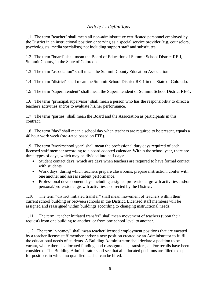# *Article I - Definitions*

<span id="page-5-0"></span>1.1 The term "teacher" shall mean all non-administrative certificated personnel employed by the District in an instructional position or serving as a special service provider (e.g. counselors, psychologists, media specialists) not including support staff and substitutes.

1.2 The term "board" shall mean the Board of Education of Summit School District RE-l, Summit County, in the State of Colorado.

1.3 The term "association" shall mean the Summit County Education Association.

1.4 The term "district" shall mean the Summit School District RE-1 in the State of Colorado.

1.5 The term "superintendent" shall mean the Superintendent of Summit School District RE-1.

1.6 The term "principal/supervisor" shall mean a person who has the responsibility to direct a teacher's activities and/or to evaluate his/her performance.

1.7 The term "parties" shall mean the Board and the Association as participants in this contract.

1.8 The term "day" shall mean a school day when teachers are required to be present, equals a 40 hour work week (pro-rated based on FTE).

1.9 The term "work/school year" shall mean the professional duty days required of each licensed staff member according to a board adopted calendar. Within the school year, there are three types of days, which may be divided into half days:

- Student contact days, which are days when teachers are required to have formal contact with students.
- Work days, during which teachers prepare classrooms, prepare instruction, confer with one another and assess student performance.
- Professional development days including assigned professional growth activities and/or personal/professional growth activities as directed by the District.

1.10 The term "district initiated transfer" shall mean movement of teachers within their current school building or between schools in the District. Licensed staff members will be assigned and reassigned within buildings according to changing instructional needs.

1.11 The term "teacher initiated transfer" shall mean movement of teachers (upon their request) from one building to another, or from one school level to another.

1.12 The term "vacancy" shall mean teacher licensed employment positions that are vacated by a teacher license staff member and/or a new position created by an Administrator to fulfill the educational needs of students. A Building Administrator shall declare a position to be vacant, where there is allocated funding, and reassignments, transfers, and/or recalls have been considered. The Building Administrator shall see that all allocated positions are filled except for positions in which no qualified teacher can be hired.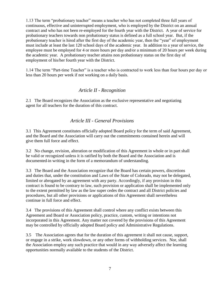1.13 The term "probationary teacher" means a teacher who has not completed three full years of continuous, effective and uninterrupted employment, who is employed by the District on an annual contract and who has not been re-employed for the fourth year with the District. A year of service for probationary teachers towards non probationary status is defined as a full school year. But, if the probationary teacher is hired after the first day of the academic year, then the "year" of employment must include at least the last 120 school days of the academic year. In addition to a year of service, the employee must be employed for 4 or more hours per day and/or a minimum of 20 hours per week during the academic year. A probationary teacher attains non probationary status on the first day of employment of his/her fourth year with the District.

1.14 The term "Part-time Teacher" is a teacher who is contracted to work less than four hours per day or less than 20 hours per week if not working on a daily basis.

# *Article II - Recognition*

<span id="page-6-0"></span>2.1 The Board recognizes the Association as the exclusive representative and negotiating agent for all teachers for the duration of this contract.

# *Article III - General Provisions*

<span id="page-6-1"></span>3.1 This Agreement constitutes officially adopted Board policy for the term of said Agreement, and the Board and the Association will carry out the commitments contained herein and will give them full force and effect.

3.2 No change, revision, alteration or modification of this Agreement in whole or in part shall be valid or recognized unless it is ratified by both the Board and the Association and is documented in writing in the form of a memorandum of understanding.

3.3 The Board and the Association recognize that the Board has certain powers, discretions and duties that, under the constitution and Laws of the State of Colorado, may not be delegated, limited or abrogated by an agreement with any party. Accordingly, if any provision in this contract is found to be contrary to law, such provision or application shall be implemented only to the extent permitted by law as the law super cedes the contract and all District policies and procedures, but all other provisions or applications of this Agreement shall nevertheless continue in full force and effect.

3.4 The provisions of this Agreement shall control where any conflict exists between this Agreement and Board or Association policy, practice, custom, writing or intentions not incorporated in this Agreement. Any matter not covered by the provisions of this Agreement may be controlled by officially adopted Board policy and Administrative Regulations.

3.5 The Association agrees that for the duration of this agreement it shall not cause, support, or engage in a strike, work slowdown, or any other forms of withholding services. Nor, shall the Association employ any such practice that would in any way adversely affect the learning opportunities normally available to the students of the District.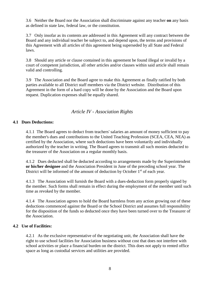3.6 Neither the Board nor the Association shall discriminate against any teacher **on** any basis as defined in state law, federal law, or the constitution.

3.7 Only insofar as its contents are addressed in this Agreement will any contract between the Board and any individual teacher be subject to, and depend upon, the terms and provisions of this Agreement with all articles of this agreement being superseded by all State and Federal laws.

3.8 Should any article or clause contained in this agreement be found illegal or invalid by a court of competent jurisdiction, all other articles and/or clauses within said article shall remain valid and controlling.

3.9 The Association and the Board agree to make this Agreement as finally ratified by both parties available to all District staff members via the District website. Distribution of this Agreement in the form of a hard copy will be done by the Association and the Board upon request. Duplication expenses shall be equally shared.

# *Article IV - Association Rights*

#### <span id="page-7-1"></span><span id="page-7-0"></span>**4.1 Dues Deductions:**

4.1.1 The Board agrees to deduct from teachers' salaries an amount of money sufficient to pay the member's dues and contributions to the United Teaching Profession (SCEA, CEA, NEA) as certified by the Association, where such deductions have been voluntarily and individually authorized by the teacher in writing. The Board agrees to transmit all such monies deducted to the treasurer of the Association on a regular monthly basis.

4.1.2 Dues deducted shall be deducted according to arrangements made by the Superintendent **or his/her designee** and the Association President in June of the preceding school year. The District will be informed of the amount of deduction by October  $1<sup>st</sup>$  of each year.

4.1.3 The Association will furnish the Board with a dues-deduction form properly signed by the member. Such forms shall remain in effect during the employment of the member until such time as revoked by the member.

4.1.4 The Association agrees to hold the Board harmless from any action growing out of these deductions commenced against the Board or the School District and assumes full responsibility for the disposition of the funds so deducted once they have been turned over to the Treasurer of the Association.

#### <span id="page-7-2"></span>**4.2 Use of Facilities:**

4.2.1 As the exclusive representative of the negotiating unit, the Association shall have the right to use school facilities for Association business without cost that does not interfere with school activities or place a financial burden on the district. This does not apply to rented office space as long as custodial services and utilities are provided.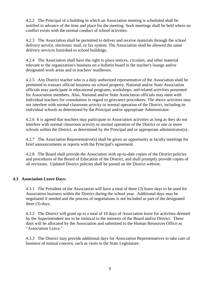4.2.2 The Principal of a building in which an Association meeting is scheduled shall be notified in advance of the time and place for the meeting. Such meetings shall be held where no conflict exists with the normal conduct of school activities.

4.2.3 The Association shall be permitted to deliver and receive materials through the school delivery service, electronic mail, or fax system. The Association shall be allowed the same delivery services furnished to school buildings.

4.2.4 The Association shall have the right to place notices, circulars, and other material relevant to the organization's business on a bulletin board in the teacher's lounge and/or designated work areas and in teachers' mailboxes.

4.2.5 Any District teacher who is a duly authorized representative of the Association shall be permitted to transact official business on school property. National and/or State Association officials may participate in educational programs, workshops, and related activities presented for Association members. Also, National and/or State Association officials may meet with individual teachers for consultation in regard to grievance procedures. The above activities may not interfere with normal classroom activity or normal operation of the District, including its individual schools as determined by the Principal and/or appropriate Administrator.

4.2.6 It is agreed that teachers may participate in Association activities as long as they do not interfere with normal classroom activity or normal operation of the District or one or more schools within the District, as determined by the Principal and or appropriate administrator(s)..

4.2.7 The Association Representative(s) shall be given an opportunity at faculty meetings for brief announcements or reports with the Principal's agreement.

4.2.8 The Board shall provide the Association with up-to-date copies of the District policies and procedures of the Board of Education of the District, and shall promptly provide copies of all revisions. Updated District policies shall be posted on the District website.

#### <span id="page-8-0"></span>**4.3 Association Leave Days:**

4.3.1 The President of the Association will have a total of three (3) leave days to be used for Association business within the District during the school year. Additional days may be negotiated if needed and the process of negotiations is not included as part of the designated three (3) days.

4.3.2 The District will grant up to a total of 10 days of Association leave for activities deemed by the Superintendent not to be inimical to the interests of the Board and/or District. These days will be allocated by the Association and submitted to the Human Resources Office as "Association Leave."

4.3.3 The District may provide additional days for Association Representatives to take care of business of mutual concern, such as visits to the State Legislature.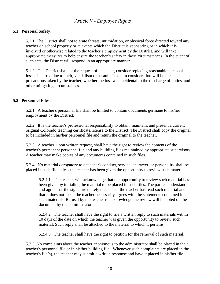# <span id="page-9-0"></span>*Article V - Employee Rights*

#### <span id="page-9-1"></span>**5.1 Personal Safety:**

5.1.1 The District shall not tolerate threats, intimidation, or physical force directed toward any teacher on school property or at events which the District is sponsoring or in which it is involved or otherwise related to the teacher's employment by the District, and will take appropriate measures to help ensure the teacher's safety in those circumstances. In the event of such acts, the District will respond in an appropriate manner.

5.1.2 The District shall, at the request of a teacher, consider replacing reasonable personal losses incurred due to theft, vandalism or assault. Taken in consideration will be the precautions taken by the teacher, whether the loss was incidental to the discharge of duties, and other mitigating circumstances.

#### <span id="page-9-2"></span>**5.2 Personnel Files:**

5.2.1 A teacher's personnel file shall be limited to contain documents germane to his/her employment by the District.

5.2.2 It is the teacher's professional responsibility to obtain, maintain, and present a current original Colorado teaching certificate/license to the District. The District shall copy the original to be included in his/her personnel file and return the original to the teacher.

5.2.3 A teacher, upon written request, shall have the right to review the contents of the teacher's permanent personnel file and any building files maintained by appropriate supervisors. A teacher may make copies of any documents contained in such files.

5.2.4 No material derogatory to a teacher's conduct, service, character, or personality shall be placed in such file unless the teacher has been given the opportunity to review such material.

5.2.4.1 The teacher will acknowledge that the opportunity to review such material has been given by initialing the material to be placed in such files. The parties understand and agree that the signature merely means that the teacher has read such material and that it does not mean the teacher necessarily agrees with the statements contained in such materials. Refusal by the teacher to acknowledge the review will be noted on the document by the administrator.

5.2.4.2 The teacher shall have the right to file a written reply to such materials within 10 days of the date on which the teacher was given the opportunity to review such material. Such reply shall be attached to the material to which it pertains.

5.2.4.3 The teacher shall have the right to petition for the removal of such material.

5.2.5 No complaints about the teacher anonymous to the administrator shall be placed in the a teacher's personnel file or in his/her building file. Whenever such complaints are placed in the teacher's file(s), the teacher may submit a written response and have it placed in his/her file.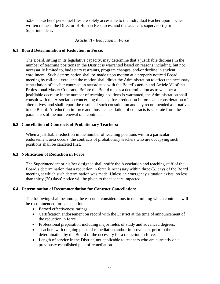5.2.6 Teachers' personnel files are solely accessible to the individual teacher upon his/her written request, the Director of Human Resources, and the teacher's supervisor(s) or Superintendent.

#### *Article VI - Reduction in Force*

#### <span id="page-10-1"></span><span id="page-10-0"></span>**6.1 Board Determination of Reduction in Force:**

The Board, sitting in its legislative capacity, may determine that a justifiable decrease in the number of teaching positions in the District is warranted based on reasons including, but not necessarily limited to, budgetary restraints, program changes, and/or decline in student enrollment. Such determination shall be made upon motion at a properly noticed Board meeting by roll-call vote, and the motion shall direct the Administration to effect the necessary cancellation of teacher contracts in accordance with the Board's action and Article VI of the Professional Master Contract. Before the Board makes a determination as to whether a justifiable decrease in the number of teaching positions is warranted, the Administration shall consult with the Association concerning the need for a reduction in force and consideration of alternatives, and shall report the results of such consultation and any recommended alternatives to the Board. A reduction in force and thus a cancellation of contracts is separate from the parameters of the non renewal of a contract.

#### <span id="page-10-2"></span>**6.2 Cancellation of Contracts of Probationary Teachers:**

When a justifiable reduction in the number of teaching positions within a particular endorsement area occurs, the contracts of probationary teachers who are occupying such positions shall be canceled first.

#### <span id="page-10-3"></span>**6.3 Notification of Reduction in Force:**

The Superintendent or his/her designee shall notify the Association and teaching staff of the Board's determination that a reduction in force is necessary within three (3) days of the Board meeting at which such determination was made. Unless an emergency situation exists, no less than thirty (30) days' notice will be given to the teachers impacted.

#### <span id="page-10-4"></span>**6.4 Determination of Recommendation for Contract Cancellation:**

The following shall be among the essential considerations in determining which contracts will be recommended for cancellation:

- Earned effectiveness ratings.
- Certification endorsement on record with the District at the time of announcement of the reduction in force.
- Professional preparation including major fields of study and advanced degrees.
- Teachers with ongoing plans of remediation and/or improvement prior to the determination by the Board of the necessity for a reduction in force.
- Length of service in the District, not applicable to teachers who are currently on a previously established plan of remediation.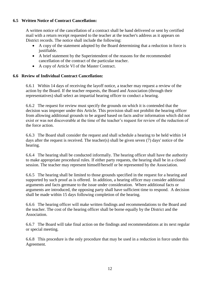#### <span id="page-11-0"></span>**6.5 Written Notice of Contract Cancellation:**

A written notice of the cancellation of a contract shall be hand delivered or sent by certified mail with a return receipt requested to the teacher at the teacher's address as it appears on District records. The notice shall include the following:

- A copy of the statement adopted by the Board determining that a reduction in force is justifiable.
- A brief statement by the Superintendent of the reasons for the recommended cancellation of the contract of the particular teacher.
- A copy of Article VI of the Master Contract.

# <span id="page-11-1"></span>**6.6 Review of Individual Contract Cancellation:**

6.6.1 Within 14 days of receiving the layoff notice, a teacher may request a review of the action by the Board. If the teacher requests, the Board and Association (through their representatives) shall select an impartial hearing officer to conduct a hearing.

6.6.2 The request for review must specify the grounds on which it is contended that the decision was improper under this Article. This provision shall not prohibit the hearing officer from allowing additional grounds to be argued based on facts and/or information which did not exist or was not discoverable at the time of the teacher's request for review of the reduction of the force action.

6.6.3 The Board shall consider the request and shall schedule a hearing to be held within 14 days after the request is received. The teacher(s) shall be given seven (7) days' notice of the hearing.

6.6.4 The hearing shall be conducted informally. The hearing officer shall have the authority to make appropriate procedural rules. If either party requests, the hearing shall be in a closed session. The teacher may represent himself/herself or be represented by the Association.

6.6.5 The hearing shall be limited to those grounds specified in the request for a hearing and supported by such proof as is offered. In addition, a hearing officer may consider additional arguments and facts germane to the issue under consideration. Where additional facts or arguments are introduced, the opposing party shall have sufficient time to respond. A decision shall be made within 15 days following completion of the hearing.

6.6.6 The hearing officer will make written findings and recommendations to the Board and the teacher. The cost of the hearing officer shall be borne equally by the District and the Association.

6.6.7 The Board will take final action on the findings and recommendations at its next regular or special meeting.

6.6.8 This procedure is the only procedure that may be used in a reduction in force under this Agreement.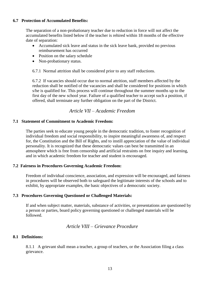#### <span id="page-12-0"></span>**6.7 Protection of Accumulated Benefits:**

The separation of a non-probationary teacher due to reduction in force will not affect the accumulated benefits listed below if the teacher is rehired within 18 months of the effective date of separation:

- Accumulated sick leave and status in the sick leave bank, provided no previous reimbursement has occurred
- Position on the salary schedule
- Non-probationary status.

6.7.1 Normal attrition shall be considered prior to any staff reductions.

6.7.2 If vacancies should occur due to normal attrition, staff members affected by the reduction shall be notified of the vacancies and shall be considered for positions in which s/he is qualified for. This process will continue throughout the summer months up to the first day of the new school year. Failure of a qualified teacher to accept such a position, if offered, shall terminate any further obligation on the part of the District.

# *Article VII – Academic Freedom*

#### <span id="page-12-2"></span><span id="page-12-1"></span>**7.1 Statement of Commitment to Academic Freedom:**

The parties seek to educate young people in the democratic tradition, to foster recognition of individual freedom and social responsibility, to inspire meaningful awareness of, and respect for, the Constitution and the Bill of Rights, and to instill appreciation of the value of individual personality. It is recognized that these democratic values can best be transmitted in an atmosphere which is free from censorship and artificial restraints on free inquiry and learning, and in which academic freedom for teacher and student is encouraged.

#### <span id="page-12-3"></span>**7.2 Fairness in Procedures Governing Academic Freedom:**

Freedom of individual conscience, association, and expression will be encouraged, and fairness in procedures will be observed both to safeguard the legitimate interests of the schools and to exhibit, by appropriate examples, the basic objectives of a democratic society.

#### <span id="page-12-4"></span>**7.3 Procedures Governing Questioned or Challenged Materials:**

If and when subject matter, materials, substance of activities, or presentations are questioned by a person or parties, board policy governing questioned or challenged materials will be followed.

# *Article VIII – Grievance Procedure*

#### <span id="page-12-6"></span><span id="page-12-5"></span>**8.1 Definitions:**

8.1.1 A grievant shall mean a teacher, a group of teachers, or the Association filing a class grievance.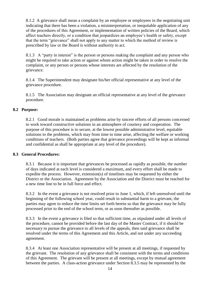8.1.2 A grievance shall mean a complaint by an employee or employees in the negotiating unit indicating that there has been a violation, a misinterpretation, or inequitable application of any of the procedures of this Agreement, or implementation of written policies of the Board, which affect teachers directly, or a condition that jeopardizes an employee's health or safety, except that the term "grievance" shall not apply to any matter to which the method of review is prescribed by law or the Board is without authority to act.

8.1.3 A "party in interest" is the person or persons making the complaint and any person who might be required to take action or against whom action might be taken in order to resolve the complaint, or any person or persons whose interests are affected by the resolution of the grievance.

8.1.4 The Superintendent may designate his/her official representative at any level of the grievance procedure.

8.1.5 The Association may designate an official representative at any level of the grievance procedure.

# <span id="page-13-0"></span>**8.2 Purpose:**

8.2.1 Good morale is maintained as problems arise by sincere efforts of all persons concerned to work toward constructive solutions in an atmosphere of courtesy and cooperation. The purpose of this procedure is to secure, at the lowest possible administrative level, equitable solutions to the problems, which may from time to time arise, affecting the welfare or working conditions of teachers. (Both parties agree that grievance proceedings will be kept as informal and confidential as shall be appropriate at any level of the procedure).

#### <span id="page-13-1"></span>**8.3 General Procedures:**

8.3.1 Because it is important that grievances be processed as rapidly as possible, the number of days indicated at each level is considered a maximum, and every effort shall be made to expedite the process. However, extension(s) of timelines may be requested by either the District or the Association. Agreement by the Association and the District must be reached for a new time line to be in full force and effect.

8.3.2 In the event a grievance is not resolved prior to June 1, which, if left unresolved until the beginning of the following school year, could result in substantial harm to a grievant, the parties may agree to reduce the time limits set forth herein so that the grievance may be fully processed prior to the end of the school term, or as soon thereafter as possible.

8.3.3 In the event a grievance is filed so that sufficient time, as stipulated under all levels of the procedure, cannot be provided before the last day of the Master Contract, if it should be necessary to pursue the grievance to all levels of the appeals, then said grievance shall be resolved under the terms of this Agreement and this Article, and not under any succeeding agreement.

8.3.4 At least one Association representative will be present at all meetings, if requested by the grievant. The resolution of any grievance shall be consistent with the terms and conditions of this Agreement. The grievant will be present at all meetings, except by mutual agreement between the parties. A class-action grievance under Section 8.3.5 may be represented by the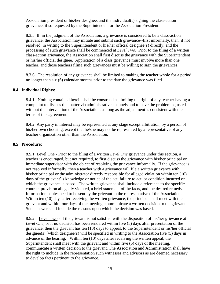Association president or his/her designee, and the individual(s) signing the class-action grievance, if so requested by the Superintendent or the Association President.

8.3.5 If, in the judgment of the Association, a grievance is considered to be a class-action grievance, the Association may initiate and submit such grievance--first informally, then, if not resolved, in writing to the Superintendent or his/her official designee(s) directly; and the processing of such grievance shall be commenced at *Level Two*. Prior to the filing of a written class-action grievance, the Association shall first discuss the grievance with the Superintendent or his/her official designee. Application of a class grievance must involve more than one teacher, and those teachers filing such grievances must be willing to sign the grievances.

8.3.6 The resolution of any grievance shall be limited to making the teacher whole for a period no longer than six (6) calendar months prior to the date the grievance was filed.

#### <span id="page-14-0"></span>**8.4 Individual Rights:**

8.4.1 Nothing contained herein shall be construed as limiting the right of any teacher having a complaint to discuss the matter via administrative channels and to have the problem adjusted without the intervention of the Association, as long as the adjustment is consistent with the terms of this agreement.

8.4.2 Any party in interest may be represented at any stage except arbitration, by a person of his/her own choosing, except that he/she may not be represented by a representative of any teacher organization other than the Association.

#### <span id="page-14-1"></span>**8.5 Procedure:**

8.5.1 Level One *-* Prior to the filing of a written *Level One* grievance under this section, a teacher is encouraged, but not required, to first discuss the grievance with his/her principal or immediate supervisor with the object of resolving the grievance informally. If the grievance is not resolved informally, then a teacher with a grievance will file a written grievance with his/her principal or the administrator directly responsible for alleged violation within ten (10) days of the grievant' s knowledge or notice of the act, failure to act, or condition incurred on which the grievance is based. The written grievance shall include a reference to the specific contract provision allegedly violated, a brief statement of the facts, and the desired remedy. Information copies need to be sent by the grievant to the representative of the Association. Within ten (10) days after receiving the written grievance, the principal shall meet with the grievant and within four days of the meeting, communicate a written decision to the grievant. Such answer shall include the reasons upon which the decision was based.

8.5.2 Level Two *-* If the grievant is not satisfied with the disposition of his/her grievance at *Level One*, or if no decision has been rendered within five (5) days after presentation of the grievance, then the grievant has ten (10) days to appeal, to the Superintendent or his/her official designee(s) [which designee(s) will be specified in writing to the Association five (5) days in advance of the hearing.] Within ten (10) days after receiving the written appeal, the Superintendent shall meet with the grievant and within five (5) days of the meeting, communicate a written decision to the grievant. The Association and Administration shall have the right to include in the representation such witnesses and advisors as are deemed necessary to develop facts pertinent to the grievance.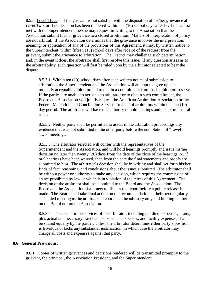8.5.3 Level Three *-* If the grievant is not satisfied with the disposition of his/her grievance at *Level Two*, or if no decision has been rendered within ten (10) school days after he/she has first met with the Superintendent, he/she may request in writing to the Association that the Association submit his/her grievance to a closed arbitration. Matters of interpretation of policy are not arbitral. If the Association determines that the grievance involves the interpretation, meaning, or application of any of the provisions of this Agreement, it may, by written notice to the Superintendent, within fifteen (15) school days after receipt of the request from the grievant, submit the grievance to arbitration. The District may challenge such determination and, in the event it does, the arbitrator shall first resolve this issue. If any question arises as to the arbitratability, such question will first be ruled upon by the arbitrator selected to hear the dispute.

8.5.3.1 Within ten (10) school days after such written notice of submission to arbitration, the Superintendent and the Association will attempt to agree upon a mutually acceptable arbitrator and to obtain a commitment from such arbitrator to serve. If the parties are unable to agree to an arbitrator or to obtain such commitment, the Board and Association will jointly request the American Arbitration Association or the Federal Mediation and Conciliation Service for a list of arbitrators within this ten (10) day period. The arbitrator will have the authority to hold hearings and make procedural rules.

8.5.3.2 Neither party shall be permitted to assert in the arbitration proceedings any evidence that was not submitted to the other party before the completion of "Level Two" meetings.

8.5.3.3 The arbitrator selected will confer with the representatives of the Superintendent and the Association, and will hold hearings promptly and issue his/her decision no later than twenty (20) days from the date of the close of the hearings, or, if oral hearings have been waived, then from the date the final statements and proofs are submitted to him. The arbitrator's decision shall be in writing and shall set forth his/her finds of fact, reasoning, and conclusions about the issues submitted. The arbitrator shall be without power or authority to make any decision, which requires the commission of an act prohibited by law or which is in violation of the terms of this Agreement. The decision of the arbitrator shall be submitted to the Board and the Association. The Board and the Association shall meet to discuss the report before a public release is made. The Board shall take final action on the recommendation at their next regularly scheduled meeting as the arbitrator's report shall be advisory only and binding neither on the Board nor on the Association.

8.5.3.4 The costs for the services of the arbitrator, including per diem expenses, if any, plus actual and necessary travel and subsistence expenses, and facility expenses, shall be shared equally by the parties, unless the arbitrator determines either party's position is frivolous or lacks any substantial justification, in which case the arbitrator may charge all costs and expenses against that party.

#### <span id="page-15-0"></span>**8.6 General Provisions:**

8.6.1 Copies of written grievances and decisions rendered will be transmitted promptly to the grievant, the principal, the Association President, and the Superintendent.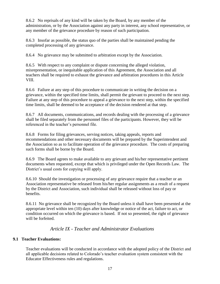8.6.2 No reprisals of any kind will be taken by the Board, by any member of the administration, or by the Association against any party in interest, any school representative, or any member of the grievance procedure by reason of such participation.

8.6.3 Insofar as possible, the status quo of the parties shall be maintained pending the completed processing of any grievance.

8.6.4 No grievance may be submitted to arbitration except by the Association.

8.6.5 With respect to any complaint or dispute concerning the alleged violation, misrepresentation, or inequitable application of this Agreement, the Association and all teachers shall be required to exhaust the grievance and arbitration procedures in this Article VIII.

8.6.6 Failure at any step of this procedure to communicate in writing the decision on a grievance, within the specified time limits, shall permit the grievant to proceed to the next step. Failure at any step of this procedure to appeal a grievance to the next step, within the specified time limits, shall be deemed to be acceptance of the decision rendered at that step.

8.6.7 All documents, communications, and records dealing with the processing of a grievance shall be filed separately from the personnel files of the participants. However, they will be referenced in the teacher's personnel file.

8.6.8 Forms for filing grievances, serving notices, taking appeals, reports and recommendations and other necessary documents will be prepared by the Superintendent and the Association so as to facilitate operation of the grievance procedure. The costs of preparing such forms shall be borne by the Board.

8.6.9 The Board agrees to make available to any grievant and his/her representative pertinent documents when requested, except that which is privileged under the Open Records Law. The District's usual costs for copying will apply.

8.6.10 Should the investigation or processing of any grievance require that a teacher or an Association representative be released from his/her regular assignments as a result of a request by the District and Association, such individual shall be released without loss of pay or benefits.

8.6.11 No grievance shall be recognized by the Board unless it shall have been presented at the appropriate level within ten (10) days after knowledge or notice of the act, failure to act, or condition occurred on which the grievance is based. If not so presented, the right of grievance will be forfeited.

# *Article IX - Teacher and Administrator Evaluations*

# <span id="page-16-1"></span><span id="page-16-0"></span>**9.1 Teacher Evaluations:**

Teacher evaluations will be conducted in accordance with the adopted policy of the District and all applicable decisions related to Colorado's teacher evaluation system consistent with the Educator Effectiveness rules and regulations.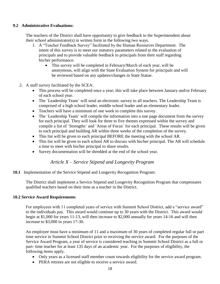#### <span id="page-17-0"></span>**9.2 Administrative Evaluations:**

The teachers of the District shall have opportunity to give feedback to the Superintendent about their school administrator(s) in written form in the following two ways.

- 1. A "Teacher Feedback Survey" facilitated by the Human Resources Department. The intent of this survey is to meet our statutory parameters related to the evaluation of principals and to provide valuable feedback to principals from their staff regarding his/her performance.
	- This survey will be completed in February/March of each year, will be anonymous, will align with the State Evaluation System for principals and will be reviewed based on any updates/changes in State Statue.
- 2. A staff survey facilitated by the SCEA:
	- This process will be completed once a year; this will take place between January and/or February of each school year.
	- The "Leadership Team" will send an electronic survey to all teachers. The Leadership Team is comprised of a high school leader, middle school leader and an elementary leader.
	- Teachers will have a minimum of one week to complete this survey.
	- The "Leadership Team" will compile the information into a one page document from the survey for each principal. They will look for three to five themes expressed within the survey and compile a list of ¨Strengths¨ and ¨Areas of Focus¨ for each principal. These results will be given to each principal and building AR within three weeks of the completion of the survey.
	- This list will be given to each principal BEFORE the meeting with the school AR.
	- This list will be given to each school AR to discuss with his/her principal. The AR will schedule a time to meet with his/her principal to share results.
	- Survey documentation will be shredded at the end of the school year.

# *Article X – Service Stipend and Longevity Program*

<span id="page-17-2"></span><span id="page-17-1"></span>**10.1** Implementation of the Service Stipend and Longevity Recognition Program:

The District shall implement a Service Stipend and Longevity Recognition Program that compensates qualified teachers based on their time as a teacher in the District.

#### **10.2 Service Award Requirements**

For employees with 11 completed years of service with Summit School District, add a "service award" to the individuals pay. This award would continue up to 30 years with the District. This award would begin at \$1,000 for years 11-13, will then increase to \$2,000 annually for years 14-16 and will then increase to \$3,000 in years 17-30.

An employee must have a minimum of 11 and a maximum of 30 years of completed regular full or part time service in Summit School District prior to receiving the service award. For the purposes of the Service Award Program, a year of service is considered teaching in Summit School District as a full or part- time teacher for at least 135 days of an academic year. For the purposes of eligibility, the following items apply.

- Only years as a licensed staff member count towards eligibility for the service award program.
- PERA retirees are not eligible to receive a service award.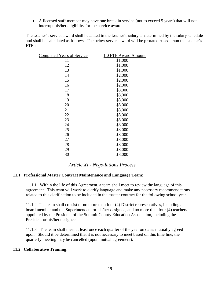A licensed staff member may have one break in service (not to exceed 5 years) that will not interrupt his/her eligibility for the service award.

The teacher's service award shall be added to the teacher's salary as determined by the salary schedule and shall be calculated as follows. The below service award will be prorated based upon the teacher's FTE :

| <b>Completed Years of Service</b> | 1.0 FTE Award Amount |
|-----------------------------------|----------------------|
| 11                                | \$1,000              |
| 12                                | \$1,000              |
| 13                                | \$1,000              |
| 14                                | \$2,000              |
| 15                                | \$2,000              |
| 16                                | \$2,000              |
| 17                                | \$3,000              |
| 18                                | \$3,000              |
| 19                                | \$3,000              |
| 20                                | \$3,000              |
| 21                                | \$3,000              |
| 22                                | \$3,000              |
| 23                                | \$3,000              |
| 24                                | \$3,000              |
| 25                                | \$3,000              |
| 26                                | \$3,000              |
| 27                                | \$3,000              |
| 28                                | \$3,000              |
| 29                                | \$3,000              |
| 30                                | \$3,000              |
|                                   |                      |

*Article XI - Negotiations Process*

#### <span id="page-18-1"></span><span id="page-18-0"></span>**11.1 Professional Master Contract Maintenance and Language Team:**

11.1.1 Within the life of this Agreement, a team shall meet to review the language of this agreement. This team will work to clarify language and make any necessary recommendations related to this clarification to be included in the master contract for the following school year.

11.1.2 The team shall consist of no more than four (4) District representatives, including a board member and the Superintendent or his/her designee, and no more than four (4) teachers appointed by the President of the Summit County Education Association, including the President or his/her designee.

11.1.3 The team shall meet at least once each quarter of the year on dates mutually agreed upon. Should it be determined that it is not necessary to meet based on this time line, the quarterly meeting may be cancelled (upon mutual agreement).

#### <span id="page-18-2"></span>**11.2 Collaborative Training:**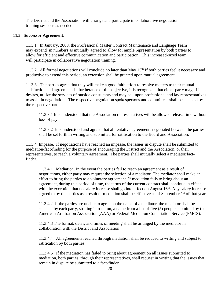The District and the Association will arrange and participate in collaborative negotiation training sessions as needed.

#### <span id="page-19-0"></span>**11.3 Successor Agreement:**

11.3.1 In January, 2008, the Professional Master Contract Maintenance and Language Team may expand in numbers as mutually agreed to allow for ample representation by both parties to allow for efficient and effective communication and participation. This increased-sized team will participate in collaborative negotiation training.

11.3.2 All formal negotiations will conclude no later than May  $15<sup>th</sup>$  If both parties feel it necessary and productive to extend this period, an extension shall be granted upon mutual agreement.

11.3.3 The parties agree that they will make a good faith effort to resolve matters to their mutual satisfaction and agreement. In furtherance of this objective, it is recognized that either party may, if it so desires, utilize the services of outside consultants and may call upon professional and lay representatives to assist in negotiations. The respective negotiation spokespersons and committees shall be selected by the respective parties.

11.3.3.1 It is understood that the Association representatives will be allowed release time without loss of pay.

11.3.3.2 It is understood and agreed that all tentative agreements negotiated between the parties shall be set forth in writing and submitted for ratification to the Board and Association.

11.3.4 Impasse. If negotiations have reached an impasse, the issues in dispute shall be submitted to mediation/fact-finding for the purpose of encouraging the District and the Association, or their representatives, to reach a voluntary agreement. The parties shall mutually select a mediator/factfinder.

11.3.4.1 Mediation. In the event the parties fail to reach an agreement as a result of negotiations, either party may request the selection of a mediator. The mediator shall make an effort to bring the parties to a voluntary agreement. If mediation fails to bring about an agreement, during this period of time, the terms of the current contract shall continue in effect, with the exception that no salary increase shall go into effect on August  $16<sup>th</sup>$ . Any salary increase agreed to by the parties as a result of mediation shall be effective as of September  $1<sup>st</sup>$  of that year.

11.3.4.2 If the parties are unable to agree on the name of a mediator, the mediator shall be selected by each party, striking in rotation, a name from a list of five (5) people submitted by the American Arbitration Association (AAA) or Federal Mediation Conciliation Service (FMCS).

11.3.4.3 The format, dates, and times of meeting shall be arranged by the mediator in collaboration with the District and Association.

11.3.4.4 All agreements reached through mediation shall be reduced to writing and subject to ratification by both parties.

11.3.4.5 If the mediation has failed to bring about agreement on all issues submitted to mediation, both parties, through their representatives, shall request in writing that the issues that remain in dispute be submitted to a fact-finder.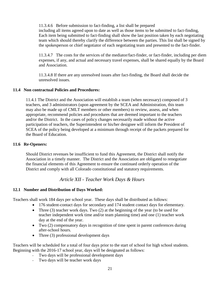11.3.4.6 Before submission to fact-finding, a list shall be prepared

including all items agreed upon to date as well as those items to be submitted to fact-finding, Each item being submitted to fact-finding shall show the last position taken by each negotiating team which should thereby clarify the difference between the parties. This list shall be signed by the spokesperson or chief negotiator of each negotiating team and presented to the fact-finder.

11.3.4.7 The costs for the services of the mediator/fact-finder, or fact-finder, including per diem expenses, if any, and actual and necessary travel expenses, shall be shared equally by the Board and Association.

11.3.4.8 If there are any unresolved issues after fact-finding, the Board shall decide the unresolved issues.

#### <span id="page-20-0"></span>**11.4 Non contractual Policies and Procedures:**

11.4.1 The District and the Association will establish a team (when necessary) composed of 3 teachers, and 3 administrators (upon agreement by the SCEA and Administration, this team may also be made up of CMLT members or other members) to review, assess, and when appropriate, recommend policies and procedures that are deemed important to the teachers and/or the District. In the cases of policy changes necessarily made without the active participation of teachers, the Superintendent or his/her designee will inform the President of SCEA of the policy being developed at a minimum through receipt of the packets prepared for the Board of Education.

#### <span id="page-20-1"></span>**11.6 Re-Openers:**

Should District revenues be insufficient to fund this Agreement, the District shall notify the Association in a timely manner. The District and the Association are obligated to renegotiate the financial elements of this Agreement to ensure the continued orderly operation of the District and comply with all Colorado constitutional and statutory requirements.

# *Article XII - Teacher Work Days & Hours*

# <span id="page-20-3"></span><span id="page-20-2"></span>**12.1 Number and Distribution of Days Worked:**

Teachers shall work 184 days per school year. These days shall be distributed as follows:

- 176 student-contact days for secondary and 174 student contact days for elementary.
- Three (3) teacher work days. Two (2) at the beginning of the year (to be used for teacher independent work time and/or team planning time) and one (1) teacher work day at the end of the year.
- Two (2) compensatory days in recognition of time spent in parent conferences during after-school hours.
- Three (3) professional development days

Teachers will be scheduled for a total of four days prior to the start of school for high school students. Beginning with the 2016-17 school year, days will be designated as follows:

- Two days will be professional development days
- Two days will be teacher work days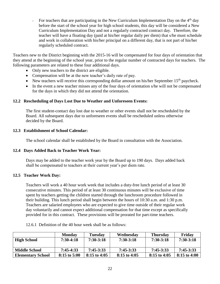- For teachers that are participating in the New Curriculum Implementation Day on the  $4<sup>th</sup>$  day before the start of the school year for high school students, this day will be considered a New Curriculum Implementation Day and not a regularly contracted contract day. Therefore, the teacher will have a floating day (paid at his/her regular daily per diem) that s/he must schedule and work in collaboration with his/her principal on a different day, that is not part of his/her regularly scheduled contract.

Teachers new to the District beginning with the 2015-16 will be compensated for four days of orientation that they attend at the beginning of the school year, prior to the regular number of contracted days for teachers. The following parameters are related to these four additional days.

- Only new teachers to the district are eligible.
- Compensation will be at the new teacher's daily rate of pay.
- New teachers will receive this corresponding dollar amount on his/her September  $15<sup>th</sup>$  paycheck.
- In the event a new teacher misses any of the four days of orientation s/he will not be compensated for the days in which they did not attend the orientation.

#### <span id="page-21-0"></span>**12.2 Rescheduling of Days Lost Due to Weather and Unforeseen Events:**

The first student-contact day lost due to weather or other events shall not be rescheduled by the Board. All subsequent days due to unforeseen events shall be rescheduled unless otherwise decided by the Board.

#### <span id="page-21-1"></span>**12.3 Establishment of School Calendar:**

The school calendar shall be established by the Board in consultation with the Association.

#### <span id="page-21-2"></span>**12.4 Days Added Back to Teacher Work Year:**

Days may be added to the teacher work year by the Board up to 190 days. Days added back shall be compensated to teachers at their current year's per diem rate.

#### <span id="page-21-3"></span>**12.5 Teacher Work Day:**

Teachers will work a 40 hour work week that includes a duty-free lunch period of at least 30 consecutive minutes. This period of at least 30 continuous minutes will be exclusive of time spent by teachers getting the children started through the lunchroom procedure followed in their building. This lunch period shall begin between the hours of 10:30 a.m. and 1:30 p.m. Teachers are salaried employees who are expected to give time outside of their regular work day voluntarily and cannot expect additional compensation for that time except as specifically provided for in this contract. These provisions will be prorated for part-time teachers.

|                          | <b>Monday</b>  | <b>Tuesday</b> | Wednesday      | <b>Thursday</b> | Friday         |
|--------------------------|----------------|----------------|----------------|-----------------|----------------|
| <b>High School</b>       | $7:30-4:18$    | $7:30-3:18$    | $7:30-3:18$    | $7:30-3:18$     | $7:30-3:18$    |
| <b>Middle School</b>     | $7:45-4:33$    | $7:45-3:33$    | $7:45-3:33$    | $7:45-3:33$     | $7:45-3:33$    |
| <b>Elementary School</b> | $8:15$ to 5:00 | $8:15$ to 4:05 | $8:15$ to 4:05 | $8:15$ to 4:05  | $8:15$ to 4:00 |

12.6.1 Definition of the 40 hour week shall be as follows: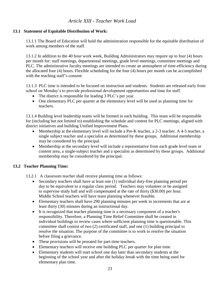# *Article XIII - Teacher Work Load*

#### <span id="page-22-1"></span><span id="page-22-0"></span>**13.1 Statement of Equitable Distribution of Work:**

13.1.1 The Board of Education will hold the administration responsible for the equitable distribution of work among members of the staff.

13.1.2 In addition to the 40 hour work week, Building Administrators may require up to four (4) hours per month for: staff meetings, departmental meetings, grade level meetings, committee meetings and PLC. The administrative faculty meetings are intended to create an atmosphere of time-efficiency during the allocated four (4) hours. Flexible scheduling for the four (4) hours per month can be accomplished with the teaching staff's consent.

13.1.3 PLC time is intended to be focused on instruction and students. Students are released early from school on Monday's to provide professional development opportunities and time for staff.

- The district is responsible for leading 3 PLC's per year.
- One elementary PLC per quarter at the elementary level will be used as planning time for teachers.

13.1.4 Building level leadership teams will be formed in each building. This team will be responsible for (including but not limited to) establishing the schedule and content for PLC meetings, aligned with district initiatives and building Unified Improvement Plans.

- Membership at the elementary level will include a Pre-K teacher, a 2-3 teacher. A 4-5 teacher, a single subject teacher and a specialist as determined by these groups. Additional membership may be considered by the principal.
- Membership at the secondary level will include a representative from each grade level team or content area, a single-subject teacher and a specialist as determined by these groups. Additional membership may be considered by the principal.

#### <span id="page-22-2"></span>**13.2 Teacher Planning Time:**

13.2.1 A classroom teacher shall receive planning time as follows:

- Secondary teachers shall have at least one (1) individual duty-free planning period per day to be equivalent to a regular class period. Teachers may volunteer or be assigned to supervise study hall and will compensated at the rate of thirty (\$30.00) per hour. Middle School teachers will have team planning whenever feasible.
- Elementary teachers shall have 290 planning minutes per week in increments that are at least thirty (30) minutes during an instructional day.
- It is recognized that teacher planning time is a necessary component of a teacher's responsibility. Therefore, a Planning Time Relief Committee shall be created in individual buildings to review cases where sufficient planning time is questionable. This committee shall consist of two (2) certificated staff, and one (1) building principal to resolve the situation. The purpose of the committee is to work to resolve the situation before filing a grievance.
- These provisions will be prorated for part-time teachers.
- Elementary teachers will receive one building PLC per quarter for plan time.
- Elementary students will start school one day later than secondary students at the beginning of the school year and after the holiday break with the time being used for elementary plan time.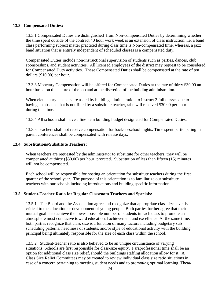#### **13.3 Compensated Duties:**

13.3.1 Compensated Duties are distinguished from Non-compensated Duties by determining whether the time spent outside of the contract 40 hour work week is an extension of class instruction, i.e. a band class performing subject matter practiced during class time is Non-compensated time, whereas, a jazz band situation that is entirely independent of scheduled classes is a compensated duty.

Compensated Duties include non-instructional supervision of students such as parties, dances, club sponsorships, and student activities. All licensed employees of the district may request to be considered for Compensated Duty activities. These Compensated Duties shall be compensated at the rate of ten dollars (\$10.00) per hour.

13.3.3 Monetary Compensation will be offered for Compensated Duties at the rate of thirty \$30.00 an hour based on the nature of the job and at the discretion of the building administration.

When elementary teachers are asked by building administration to instruct 2 full classes due to having an absence that is not filled by a substitute teacher, s/he will received \$30.00 per hour during this time.

13.3.4 All schools shall have a line item building budget designated for Compensated Duties.

13.3.5 Teachers shall not receive compensation for back-to-school nights. Time spent participating in parent conferences shall be compensated with release days.

#### <span id="page-23-0"></span>**13.4 Substitutions/Substitute Teachers:**

When teachers are requested by the administrator to substitute for other teachers, they will be compensated at thirty (\$30.00) per hour, prorated. Substitution of less than fifteen (15) minutes will not be compensated.

Each school will be responsible for hosting an orientation for substitute teachers during the first quarter of the school year. The purpose of this orientation is to familiarize our substitute teachers with our schools including introductions and building specific information.

#### **13.5 Student-Teacher Ratio for Regular Classroom Teachers and Specials:**

13.5.1 The Board and the Association agree and recognize that appropriate class size level is critical to the education or development of young people. Both parties further agree that their mutual goal is to achieve the lowest possible number of students in each class to promote an atmosphere most conducive toward educational achievement and excellence. At the same time, both parties recognize that class size is a function of many factors including budgetary sub scheduling patterns, neediness of students, and/or style of educational activity with the building principal being ultimately responsible for the size of each class within the school.

13.5.2 Student-teacher ratio is also believed to be an unique circumstance of varying situations. Schools are first responsible for class-size equity. Paraprofessional time shall be an option for additional class size relief, should the buildings staffing allocation allow for it. A Class Size Relief Committees may be created to review individual class size ratio situations in case of a concern pertaining to meeting student needs and to promoting optimal learning. These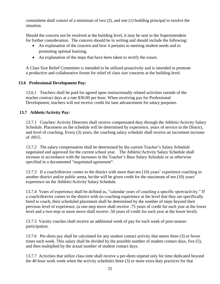committees shall consist of a minimum of two (2), and one (1) building principal to resolve the situation.

Should the concern not be resolved at the building level, it may be sent to the Superintendent for further consideration. The concern should be in writing and should include the following:

- An explanation of the concern and how it pertains to meeting student needs and to promoting optimal learning.
- An explanation of the steps that have been taken to rectify the issues.

A Class Size Relief Committee is intended to be utilized proactively and is intended to promote a productive and collaborative forum for relief of class size concerns at the building level.

# <span id="page-24-0"></span> **13.6 Professional Development Pay:**

13.6.1 Teachers shall be paid for agreed upon instructionally related activities outside of the teacher contract days at a rate \$30.00 per hour. When receiving pay for Professional Development, teachers will not receive credit for lane advancement for salary purposes.

# <span id="page-24-1"></span> **13.7 Athletic/Activity Pay:**

13.7.1 Coaches/ Activity Directors shall receive compensated duty through the Athletic/Activity Salary Schedule. Placement on the schedule will be determined by experience, years of service in the District, and level of coaching. Every (3) years, the coaching salary schedule shall receive an increment increase of .0015.

13.7.2 The salary compensation shall be determined by the current Teacher's Salary Schedule negotiated and approved for the current school year. The Athletic/Activity Salary Schedule shall increase in accordance with the increases in the Teacher's Base Salary Schedule or as otherwise specified in a documented "negotiated agreement".

13.7.3 If a coach/director comes to the district with more than ten (10) years' experience coaching in another district and/or public arena, he/she will be given credit for the maximum of ten (10) years' experience on the Athletic/Activity Salary Schedule.

13.7.4 Years of experience shall be defined as, "calendar years of coaching a specific sport/activity." If a coach/director comes to the district with no coaching experience at the level that they are specifically hired to coach, their scheduled placement shall be determined by the number of steps beyond their previous level of experience, (a one-step move shall receive .75 years of credit for each year at the lower level and a two-step or more move shall receive .50 years of credit for each year at the lower level).

13.7.5 Varsity coaches shall receive an additional week of pay for each week of post-seasonparticipation.

13.7.6 Per-diem pay shall be calculated for any student contact activity that meets three (3) or fewer times each week. This salary shall be divided by the possible number of student contact days, five (5), and then multiplied by the actual number of student contact days.

13.7.7 Activities that utilize class time shall receive a per-diem stipend only for time dedicated beyond the 40 hour work week when the activity schedules three (3) or more extra duty practices for that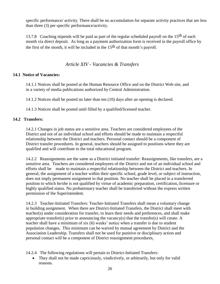specific performance/ activity. There shall be no accumulation for separate activity practices that are less than three (3) per specific performance/activity.

13.7.8 Coaching stipends will be paid as part of the regular scheduled payroll on the 15<sup>th</sup> of each month via direct deposit. As long as a payment authorization form is received in the payroll office by the first of the month, it will be included in the  $15<sup>th</sup>$  of that month's payroll.

# *Article XIV - Vacancies & Transfers*

# <span id="page-25-1"></span><span id="page-25-0"></span>**14.1 Notice of Vacancies:**

14.1.1 Notices shall be posted at the Human Resource Office and on the District Web site, and in a variety of media publications authorized by Central Administration.

14.1.2 Notices shall be posted no later than ten (10) days after an opening is declared.

14.1.3 Notices shall be posted until filled by a qualified/licensed teacher.

# <span id="page-25-2"></span>**14.2 Transfers:**

14.2.1 Changes in job status are a sensitive area. Teachers are considered employees of the District and not of an individual school and efforts should be made to maintain a respectful relationship between the District and teachers. Personal contact should be a component of District transfer procedures. In general, teachers should be assigned to positions where they are qualified and will contribute to the total educational program.

14.2.2 Reassignments are the same as a District initiated transfer: Reassignments, like transfers, are a sensitive area. Teachers are considered employees of the District and not of an individual school and efforts shall be made to maintain a respectful relationship between the District and teachers. In general, the assignment of a teacher within their specific school, grade level, or subject of instruction, does not imply permanent assignment to that position. No teacher shall be placed in a transferred position to which he/she is not qualified by virtue of academic preparation, certification, licensure or highly qualified status. No probationary teacher shall be transferred without the express written permission of the Superintendent.

14.2.3 Teacher-Initiated Transfers: Teacher-Initiated Transfers shall mean a voluntary change in building assignment. When there are District-Initiated Transfers, the District shall meet with teacher(s) under consideration for transfer, to learn their needs and preferences, and shall make appropriate transfer(s) prior to announcing the vacancy(s) that the transfer(s) will create. A teacher shall have a minimum of six (6) weeks' notice when a transfer is due to student population changes**.** This minimum can be waived by mutual agreement by District and the Association Leadership. Transfers shall not be used for punitive or disciplinary action and personal contact will be a component of District reassignment procedures.

14.2.4 The following regulations will pertain to District-Initiated Transfers:

• They shall not be made capriciously, vindictively, or arbitrarily, but only for valid reasons.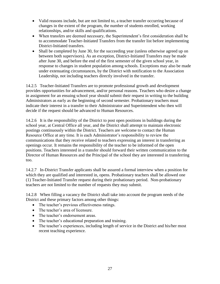- Valid reasons include, but are not limited to, a teacher transfer occurring because of changes in the extent of the program, the number of students enrolled, working relationships, and/or skills and qualifications.
- When transfers are deemed necessary, the Superintendent's first consideration shall be to accommodate Teacher-Initiated Transfers from the transfer list before implementing District-Initiated transfers.
- Shall be completed by June 30, for the succeeding year (unless otherwise agreed up on between both supervisors). As an exception, District-Initiated Transfers may be made after June 30, and before the end of the first semester of the given school year, in response to changes in student population among schools. Exceptions may also be made under extenuating circumstances, by the District with notification to the Association Leadership, not including teachers directly involved in the transfer.

14.2.5 Teacher-Initiated Transfers are to promote professional growth and development provides opportunities for advancement, and/or personal reasons. Teachers who desire a change in assignment for an ensuing school year should submit their request in writing to the building Administrators as early as the beginning of second semester. Probationary teachers must indicate their interest in a transfer to their Administrator and Superintendent who then will decide if the request should be advanced to Human Resources.

14.2.6 It is the responsibility of the District to post open positions in buildings during the school year, at Central Office all year, and the District shall attempt to maintain electronic postings continuously within the District. Teachers are welcome to contact the Human Resource Office at any time. It is each Administrator's responsibility to review the communications that they receive related to teachers expressing an interest in transferring as openings occur. It remains the responsibility of the teacher to be informed of the open positions. Teachers interested in a transfer should forward their written communication to the Director of Human Resources and the Principal of the school they are interested in transferring too.

14.2.7 In-District Transfer applicants shall be assured a formal interview when a position for which they are qualified and interested in, opens. Probationary teachers shall be allowed one (1) Teacher-Initiated Transfer request during their probationary period. Non-probationary teachers are not limited to the number of requests they may submit.

14.2.8 When filling a vacancy the District shall take into account the program needs of the District and these primary factors among other things:

- The teacher's previous effectiveness ratings.
- The teacher's area of licensure.
- The teacher's endorsement areas.
- The teacher's educational preparation and training.
- The teacher's experiences, including length of service in the District and his/her most recent teaching experience.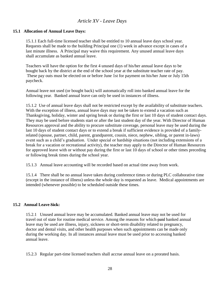# *Article XV - Leave Days*

#### <span id="page-27-1"></span><span id="page-27-0"></span>**15.1 Allocation of Annual Leave Days:**

15.1.1 Each full-time licensed teacher shall be entitled to 10 annual leave days school year. Requests shall be made to the building Principal one (1) week in advance except in cases of a last minute illness. A Principal may waive this requirement. Any unused annual leave days shall accumulate as banked annual leave.

Teachers will have the option for the first 4 unused days of his/her annual leave days to be bought back by the district at the end of the school year at the substitute teacher rate of pay. These pay outs must be elected on or before June 1st for payment on his/her June or July 15th paycheck.

Annual leave not used (or bought back) will automatically roll into banked annual leave for the following year. Banked annual leave can only be used in instances of illness.

15.1.2 Use of annual leave days shall not be restricted except by the availability of substitute teachers. With the exception of illness, annual leave days may not be taken to extend a vacation such as Thanksgiving, holiday, winter and spring break or during the first or last 10 days of student contact days. They may be used before students start or after the last student day of the year. With Director of Human Resources approval and the ability to procure substitute coverage, personal leave may be used during the last 10 days of student contact days or to extend a break if sufficient evidence is provided of a familyrelated (spouse, partner, child, parent, grandparent, cousin, niece, nephew, sibling, or parent in-laws) event such as a child's graduation. Under special or hardship situations (not including extensions of a break for a vacation or recreational activity), the teacher may apply to the Director of Human Resources for approved leave with or without pay during the first or last 10 days of school or other times preceding or following break times during the school year.

15.1.3 Annual leave accounting will be recorded based on actual time away from work.

15.1.4 There shall be no annual leave taken during conference times or during PLC collaborative time (except in the instance of illness) unless the whole day is requested as leave. Medical appointments are intended (whenever possible) to be scheduled outside these times.

#### <span id="page-27-2"></span>**15.2 Annual Leave Sick:**

15.2.1 Unused annual leave may be accumulated. Banked annual leave may not be used for travel out of state for routine medical service. Among the reasons for which-paid banked annual leave may be used are illness, injury, sickness or short-term disability related to pregnancy, doctor and dental visits, and other health purposes when such appointments can be made only during the working day. In all instances annual leave must be used prior to accessing banked annual leave.

15.2.3 Regular part-time licensed teachers shall accrue annual leave on a prorated basis.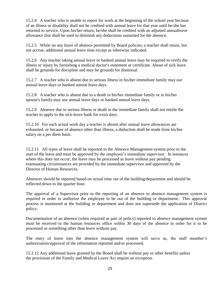15.2.4 A teacher who is unable to report for work at the beginning of the school year because of an illness or disability shall not be credited with annual leave for that year until he/she has returned to service. Upon his/her return, he/she shall be credited with an adjusted annualleave allowance that shall be used to diminish any deductions sustained for the absence.

15.2.5 While on any leave of absence permitted by Board policies, a teacher shall retain, but not accrue, additional annual leave time except as otherwise indicated.

15.2.6 Any teacher taking annual leave or banked annual leave may be required to verify the illness or injury by furnishing a medical doctor's statement or certificate. Abuse of sick leave shall be grounds for discipline and may be grounds for dismissal.

15.2.7 A teacher who is absent due to serious illness in his/her immediate family may use annual leave days or banked annual leave days.

15.2.8 A teacher who is absent due to a death in his/her immediate family or in his/her spouse's family may use annual leave days or banked annual leave days.

15.2.9 Absence due to serious illness or death in the immediate family shall not entitle the teacher to apply to the sick-leave bank for extra days.

15.2.10 For each actual work day a teacher is absent after annual leave allowances are exhausted, or because of absence other than illness, a deduction shall be made from his/her salary on a per diem basis.

15.2.11 All types of leave shall be reported to the Absence Management system prior to the start of the leave and must be approved by the employee's immediate supervisor. In instances where this does not occur, the leave may be processed as leave without pay pending extenuating circumstances are provided by the immediate supervisor and approved by the Director of Human Resources.

Absences should be reported based on actual time out of the building/department and should be reflected down to the quarter hour.

The approval of a Supervisor prior to the reporting of an absence to absence management system is required in order to authorize the employee to be out of the building or department. This approval process is monitored at the building or department and does not supersede the application of District policy.

Documentation of an absence (when required as part of policy) reported to absence management system must be received in the human resources office within 30 days of the absence in order for it to be processed as something other than leave without pay.

The entry of leave into the absence management system will serve as, the staff member's authorization/approval of the information reported and/or processed.

15.2.12 Any additional leave granted by the Board shall be without pay or other benefits unless the provisions of the Family and Medical Leave Act require an exception.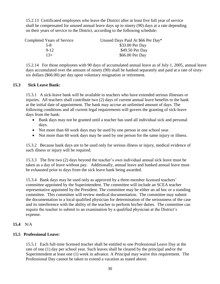15.2.13 Certificated employees who leave the District after at least five full year of service shall be compensated for unused annual leave days up to ninety (90) days at a rate depending on their years of service to the District, according to the following schedule:

| Completed Years of Service | Unused Days Paid At \$66 Per Day* |
|----------------------------|-----------------------------------|
| $5 - 8$                    | \$33.00 Per Day                   |
| $9-12$                     | \$49.50 Per Day                   |
| $13+$                      | \$66.00 Per Day                   |

 15.2.14 For those employees with 90 days of accumulated annual leave as of July 1, 2005, annual leave days accumulated over the amount of ninety (90) shall be banked separately and paid at a rate of sixtysix dollars (\$66.00) per day upon voluntary resignation or retirement.

#### <span id="page-29-0"></span>**15.3 Sick Leave Bank:**

15.3.1 A sick-leave bank will be available to teachers who have extended serious illnesses or injuries. All teachers shall contribute two (2) days of current annual leave benefits to the bank at the initial date of appointment. The bank may accrue an unlimited amount of days. The following conditions and all current legal requirements will govern the granting of sick-leave days from the bank:

- Bank days may not be granted until a teacher has used all individual sick and personal days.
- Not more than 60 work days may be used by one person in one school year.
- Not more than 60 work days may be used by one person for the same injury or illness.

15.3.2 Because bank days are to be used only for serious illness or injury, medical evidence of such illness or injury will be required.

15.3.3 The first two (2) days beyond the teacher's own individual annual sick leave must be taken as a day of leave without pay. Additionally, annual leave and banked annual leave must be exhausted prior to days from the sick leave bank being awarded.

15.3.4 Bank days may be used only as approved by a three-member licensed teachers' committee appointed by the Superintendent. The committee will include an SCEA teacher representative appointed by the President. The committee may be either an ad hoc or a standing committee. This committee will review medical documentation. The committee may submit the documentation to a local qualified physician for determination of the seriousness of the case and its interference with the ability of the teacher to perform his/her duties. The committee can require the teacher to submit to an examination by a qualified physician at the District's expense.

#### **15.4** N/A

#### <span id="page-29-1"></span>**15.5 Professional Leave:**

15.5.1 Each full-time licensed teacher shall be entitled to one Professional Leave Day at the rate of one (1) day per school year. Such leaves shall be cleared by the principal and/or the Superintendent at least one (1) week in advance. A Principal may waive this requirement. The Professional Day cannot be taken to extend a vacation as stated above.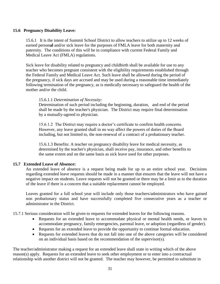#### <span id="page-30-0"></span>**15.6 Pregnancy Disability Leave:**

15.6.1 It is the intent of Summit School District to allow teachers to utilize up to 12 weeks of earned person**al** and/or sick leave for the purposes of FMLA leave for both maternity and paternity. The conditions of this will be in compliance with current Federal Family and Medical Leave Act (FMLA) regulations.

Sick leave for disability related to pregnancy and childbirth shall be available for use to any teacher who becomes pregnant consistent with the eligibility requirements established through the Federal Family and Medical Leave Act. Such leave shall be allowed during the period of the pregnancy, if sick days are accrued and may be used during a reasonable time immediately following termination of the pregnancy, as is medically necessary to safeguard the health of the mother and/or the child.

#### 15.6.1.1 *Determination of Necessity:*

Determination of such period including the beginning, duration, and end of the period shall be made by the teacher's physician. The District may require final determination by a mutually-agreed to physician.

15.6.1.2 The District may require a doctor's certificate to confirm health concerns. However, any leave granted shall in no way affect the powers of duties of the Board including, but not limited to, the non-renewal of a contract of a probationary teacher.

15.6.1.3 Benefits: A teacher on pregnancy disability leave for medical necessity, as determined by the teacher's physician, shall receive pay, insurance, and other benefits to the same extent and on the same basis as sick leave used for other purposes.

#### <span id="page-30-1"></span>**15.7 Extended Leave of Absence:**

An extended leave of absence is a request being made for up to an entire school year. Decisions regarding extended leave requests should be made in a manner that ensures that the leave will not have a negative impact on students. Leave requests will not be granted or there may be a limit as to the duration of the leave if there is a concern that a suitable replacement cannot be employed.

Leaves granted for a full school year will include only those teachers/administrators who have gained non probationary status and have successfully completed five consecutive years as a teacher or administrator in the District.

15.7.1 Serious consideration will be given to requests for extended leaves for the following reasons*.*

- Requests for an extended leave to accommodate physical or mental health needs, or leaves to accommodate pregnancy, family emergencies, parental leave, or adoption (regardless of gender).
- Requests for an extended leave to provide the opportunity to continue formal education.
- Requests for extended leaves that do not fall into one of the above categories will be considered on an individual basis based on the recommendation of the supervisor(s).

The teacher/administrator making a request for an extended leave shall state in writing which of the above reason(s) apply. Requests for an extended leave to seek other employment or to enter into a contractual relationship with another district will not be granted. The teacher may however, be permitted to substitute in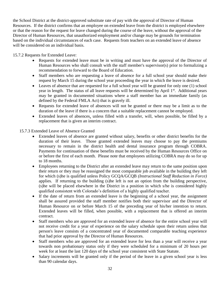the School District at the district-approved substitute rate of pay with the approval of Director of Human Resources. If the district confirms that an employee on extended leave from the district is employed elsewhere or that the reason for the request for leave changed during the course of the leave, without the approval of the Director of Human Resources, that unauthorized employment and/or change may be grounds for termination based on the individual circumstances of each case. Requests from teachers on an extended leave of absence will be considered on an individual basis.

15.7.2 Requests for Extended Leave:

- Requests for extended leave must be in writing and must have the approval of the Director of Human Resources who shall consult with the staff member's supervisor(s) prior to formalizing a recommendation to forward to the Board of Education.
- Staff members who are requesting a leave of absence for a full school year should make their request by March 15 during the school year proceeding the year in which the leave is desired.
- Leaves of absence that are requested for a full school year will be granted for only one (1) school year in length. The status of all leave requests will be determined by April 1<sup>st</sup>. Additional years may be granted in documented situations where a staff member has an immediate family (as defined by the Federal FMLA Act) that is gravely ill.
- Requests for extended leave of absences will not be granted or there may be a limit as to the duration of the leave if there is a concern that a suitable replacement cannot be employed.
- Extended leaves of absences, unless filled with a transfer, will, when possible, be filled by a replacement that is given an interim contract.

# 15.7.3 Extended Leave of Absence Granted

- Extended leaves of absence are granted without salary, benefits or other district benefits for the duration of their leave. Those granted extended leaves may choose to pay the premiums necessary to remain in the district health and dental insurance program through COBRA. Payments for continuation of these benefits must be received by the Human Resources Office on or before the first of each month. Please note that employees utilizing COBRA may do so for up to 18 months.
- Employees returning to the District after an extended leave may return to the same position upon their return or they may be reassigned the most comparable job available in the building they left for which (s)he is qualified unless Policy GCQA/GCQB *(Instructional Staff Reduction in Force)*  applies. If returning to the building (s)he left is not an option from the building perspective, (s)he will be placed elsewhere in the District in a position in which s/he is considered highly qualified consistent with Colorado's definition of a highly qualified teacher.
- If the date of return from an extended leave is the beginning of a school year, the assignment shall be assured provided the staff member notifies both their supervisor and the Director of Human Resource on or before March 15 of the preceding year of his/her intention to return. Extended leaves will be filled, when possible, with a replacement that is offered an interim contract.
- Staff members who are approved for an extended leave of absence for the entire school year will not receive credit for a year of experience on the salary schedule upon their return unless that person's leave consists of a concentrated year of documented comparable teaching experience that had prior approval by the Director of Human Resources.
- Staff members who are approved for an extended leave for less than a year will receive a year towards non probationary status only if they were scheduled for a minimum of 20 hours per week for at least the last 120 days of the school year consistent with State Statute.
- Salary increments will be granted only if the period of the leave in a given school year is less than 90 calendar days.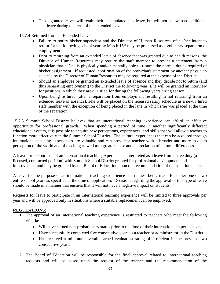• Those granted leaves will retain their accumulated sick leave, but will not be awarded additional sick leave during the term of the extended leave.

15.7.4 Returned from an Extended Leave

- Failure to notify his/her supervisor and the Director of Human Resources of his/her intent to return for the following school year by March  $15<sup>th</sup>$  may be processed as a voluntary separation of employment.
- Prior to returning from an extended leave of absence that was granted due to health reasons, the Director of Human Resources may require the staff member to present a statement from a physician that he/she is physically and/or mentally able to resume the normal duties required of his/her assignment. If requested, confirmation of the physician's statement by another physician selected by the Director of Human Resources may be required at the expense of the District.
- Should an employee be granted an extended leave of absence and they decide not to return (and thus separating employment) to the District the following year, s/he will be granted an interview for positions in which they are qualified for during the following years hiring season.
- Upon being re hired (after a separation from employment resulting in not returning from an extended leave of absence), s/he will be placed on the licensed salary schedule as a newly hired staff member with the exception of being placed in the lane in which s/he was placed at the time of the separation.

15.7.5 Summit School District believes that an international teaching experience can afford an effective opportunity for professional growth. When spending a period of time in another significantly different educational system, it is possible to acquire new perceptions, experiences, and skills that will allow a teacher to function more effectively in the Summit School District. The cultural experiences that can be acquired through international teaching experiences are valuable and can provide a teacher with a broader and more in-depth perception of the world and of teaching as well as a greater sense and appreciation of cultural differences.

A leave for the purpose of an international teaching experience is interpreted as a leave from active duty (a licensed, contracted position) with Summit School District granted for professional development and improvement and may be granted by the Board of Education upon the recommendation of the superintendent.

A leave for the purpose of an international teaching experience is a request being made for either one or two entire school years as specified at the time of application. Decisions regarding the approval of this type of leave should be made in a manner that ensures that it will not have a negative impact on students.

Requests for leave to participate in an international teaching experience will be limited to three approvals per year and will be approved only in situations where a suitable replacement can be employed.

# **REGULATIONS:**

- 1. The approval of an international teaching experience is restricted to teachers who meet the following criteria:
	- Will have earned non-probationary status prior to the time of their international experience and
	- Have successfully completed five consecutive years as a teacher or administrator in the District.
	- Has received a minimum overall, earned evaluation rating of Proficient in the previous two consecutive years.
- 2. The Board of Education will be responsible for the final approval related to international teaching requests and will be based upon the request of the teacher and the recommendation of the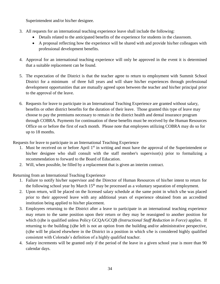Superintendent and/or his/her designee.

- 3. All requests for an international teaching experience leave shall include the following:
	- Details related to the anticipated benefits of the experience for students in the classroom.
	- A proposal reflecting how the experience will be shared with and provide his/her colleagues with professional development benefits.
- 4. Approval for an international teaching experience will only be approved in the event it is determined that a suitable replacement can be found.
- 5. The expectation of the District is that the teacher agree to return to employment with Summit School District for a minimum of three full years and will share his/her experiences through professional development opportunities that are mutually agreed upon between the teacher and his/her principal prior to the approval of the leave.
- 6. Requests for leave to participate in an International Teaching Experience are granted without salary, benefits or other district benefits for the duration of their leave. Those granted this type of leave may choose to pay the premiums necessary to remain in the district health and dental insurance program through COBRA. Payments for continuation of these benefits must be received by the Human Resources Office on or before the first of each month. Please note that employees utilizing COBRA may do so for up to 18 months.

Requests for leave to participate in an International Teaching Experience

- 1. Must be received on or before April  $1<sup>st</sup>$  in writing and must have the approval of the Superintendent or his/her designee who shall consult with the staff member's supervisor(s) prior to formalizing a recommendation to forward to the Board of Education.
- 2. Will, when possible, be filled by a replacement that is given an interim contract.

Returning from an International Teaching Experience

- 1. Failure to notify his/her supervisor and the Director of Human Resources of his/her intent to return for the following school year by March  $15<sup>th</sup>$  may be processed as a voluntary separation of employment.
- 2. Upon return, will be placed on the licensed salary schedule at the same point in which s/he was placed prior to their approved leave with any additional years of experience obtained from an accredited institution being applied to his/her placement.
- 3. Employees returning to the District after a leave to participate in an international teaching experience may return to the same position upon their return or they may be reassigned to another position for which (s)he is qualified unless Policy GCQA/GCQB *(Instructional Staff Reduction in Force)* applies. If returning to the building (s)he left is not an option from the building and/or administrative perspective, (s)he will be placed elsewhere in the District in a position in which s/he is considered highly qualified consistent with Colorado's definition of a highly qualified teacher.
- 4. Salary increments will be granted only if the period of the leave in a given school year is more than 90 calendar days.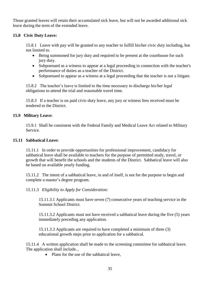Those granted leaves will retain their accumulated sick leave, but will not be awarded additional sick leave during the term of the extended leave.

# <span id="page-34-0"></span>**15.8 Civic Duty Leave:**

15.8.1 Leave with pay will be granted to any teacher to fulfill his/her civic duty including, but not limited to.

- Being summoned for jury duty and required to be present at the courthouse for such jury duty.
- Subpoenaed as a witness to appear at a legal proceeding in connection with the teacher's performance of duties as a teacher of the District.
- Subpoenaed to appear as a witness at a legal proceeding that the teacher is not a litigate.

15.8.2 The teacher's leave is limited to the time necessary to discharge his/her legal obligations to attend the trial and reasonable travel time.

15.8.3 If a teacher is on paid civic-duty leave, any jury or witness fees received must be tendered to the District.

# <span id="page-34-1"></span>**15.9 Military Leave:**

15.9.1 Shall be consistent with the Federal Family and Medical Leave Act related to Military Service.

# <span id="page-34-2"></span>**15.11 Sabbatical Leave:**

15.11.1 In order to provide opportunities for professional improvement, candidacy for sabbatical leave shall be available to teachers for the purpose of permitted study, travel, or growth that will benefit the schools and the students of the District. Sabbatical leave will also be based on available yearly funding.

15.11.2 The intent of a sabbatical leave, in and of itself, is not for the purpose to begin and complete a master's degree program.

15.11.3 *Eligibility to Apply for Consideration:*

15.11.3.1 Applicants must have seven (7) consecutive years of teaching service in the Summit School District.

15.11.3.2 Applicants must not have received a sabbatical leave during the five (5) years immediately preceding any application.

15.11.3.3 Applicants are required to have completed a minimum of three (3) educational growth steps prior to application for a sabbatical.

15.11.4 A written application shall be made to the screening committee for sabbatical leave. The application shall include...

• Plans for the use of the sabbatical leave,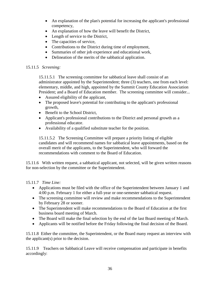- An explanation of the plan's potential for increasing the applicant's professional competency,
- An explanation of how the leave will benefit the District,
- Length of service to the District,
- The capacities of service,
- Contributions to the District during time of employment,
- Summaries of other job experience and educational work,
- Delineation of the merits of the sabbatical application.

# 15.11.5 *Screening:*

15.11.5.1 The screening committee for sabbatical leave shall consist of an administrator appointed by the Superintendent; three (3) teachers, one from each level: elementary, middle, and high, appointed by the Summit County Education Association President; and a Board of Education member. The screening committee will consider...

- Assured eligibility of the applicant,
- The proposed leave's potential for contributing to the applicant's professional growth,
- Benefit to the School District,
- Applicant's professional contributions to the District and personal growth as a professional educator.
- Availability of a qualified substitute teacher for the position.

15.11.5.2 The Screening Committee will prepare a priority listing of eligible candidates and will recommend names for sabbatical leave appointments, based on the overall merit of the applicants, to the Superintendent, who will forward the recommendations with comment to the Board of Education.

15.11.6 With written request, a sabbatical applicant, not selected, will be given written reasons for non-selection by the committee or the Superintendent.

# 15.11.7 *Time Line:*

- Applications must be filed with the office of the Superintendent between January 1 and 4:00 p.m. February 1 for either a full-year or one-semester sabbatical request.
- The screening committee will review and make recommendations to the Superintendent by February 28 or sooner.
- The Superintendent will make recommendations to the Board of Education at the first business board meeting of March.
- The Board will make the final selection by the end of the last Board meeting of March.
- Applicants will be notified before the Friday following the final decision of the Board.

15.11.8 Either the committee, the Superintendent, or the Board many request an interview with the applicant(s) prior to the decision.

15.11.9 Teachers on Sabbatical Leave will receive compensation and participate in benefits accordingly: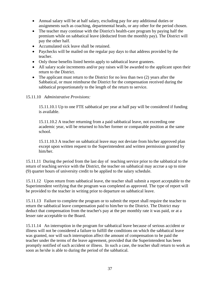- Annual salary will be at half salary, excluding pay for any additional duties or assignments such as coaching, departmental heads, or any other for the period chosen.
- The teacher may continue with the District's health-care program by paying half the premium while on sabbatical leave (deducted from the monthly pay). The District will pay the other half.
- Accumulated sick leave shall be retained.
- Paychecks will be mailed on the regular pay days to that address provided by the teacher.
- Only those benefits listed herein apply to sabbatical leave grantees.
- All salary scale increments and/or pay raises will be awarded to the applicant upon their return to the District.
- The applicant must return to the District for no less than two (2) years after the Sabbatical, or must reimburse the District for the compensation received during the sabbatical proportionately to the length of the return to service.

#### 15.11.10 *Administrative Provisions:*

15.11.10.1 Up to one FTE sabbatical per year at half pay will be considered if funding is available.

15.11.10.2 A teacher returning from a paid sabbatical leave, not exceeding one academic year, will be returned to his/her former or comparable position at the same school.

15.11.10.3 A teacher on sabbatical leave may not deviate from his/her approved plan except upon written request to the Superintendent and written permission granted by him/her.

15.11.11 During the period from the last day of teaching service prior to the sabbatical to the return of teaching service with the District, the teacher on sabbatical may accrue a up to nine (9) quarter hours of university credit to be applied to the salary schedule.

15.11.12 Upon return from sabbatical leave, the teacher shall submit a report acceptable to the Superintendent verifying that the program was completed as approved. The type of report will be provided to the teacher in writing prior to departure on sabbatical leave.

15.11.13 Failure to complete the program or to submit the report shall require the teacher to return the sabbatical leave compensation paid to him/her to the District. The District may deduct that compensation from the teacher's pay at the per monthly rate it was paid, or at a lesser rate acceptable to the Board.

15.11.14 An interruption in the program for sabbatical leave because of serious accident or illness will not be considered a failure to fulfill the conditions on which the sabbatical leave was granted, nor will such interruption affect the amount of compensation to be paid the teacher under the terms of the leave agreement, provided that the Superintendent has been promptly notified of such accident or illness. In such a case, the teacher shall return to work as soon as he/she is able to during the period of the sabbatical.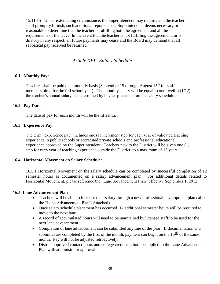15.11.15 Under extenuating circumstance, the Superintendent may require, and the teacher shall promptly furnish, such additional reports as the Superintendent deems necessary or reasonable to determine that the teacher is fulfilling both the agreement and all the requirements of the leave. In the event that the teacher is not fulfilling the agreement, or is dilatory in any respect, all future payments may cease and the Board may demand that all sabbatical pay received be returned.

# *Article XVI - Salary Schedule*

#### <span id="page-37-1"></span><span id="page-37-0"></span>**16.1 Monthly Pay:**

Teachers shall be paid on a monthly basis (September 15 through August  $15<sup>th</sup>$  for staff members hired for the full school year). The monthly salary will be equal to one-twelfth (1/12) the teacher's annual salary, as determined by his/her placement on the salary schedule.

#### <span id="page-37-2"></span>**16.2 Pay Date:**

The date of pay for each month will be the fifteenth.

#### <span id="page-37-3"></span>**16.3 Experience Pay:**

The term "experience pay" includes one (1) increment step for each year of validated teaching experience in public schools or accredited private schools and professional educational experience approved by the Superintendent. Teachers new to the District will be given one (1) step for each year of teaching experience outside the District, to a maximum of 15 years.

#### <span id="page-37-4"></span>**16.4 Horizontal Movement on Salary Schedule:**

16.5.1 Horizontal Movement on the salary schedule can be completed by successful completion of 12 semester hours as documented on a salary advancement plan. For additional details related to Horizontal Movement, please reference the "Lane Advancement Plan" effective September 1, 2012.

#### **16.5. Lane Advancement Plan**

- Teachers will be able to increase their salary through a new professional development plan called the "Lane Advancement Plan"(Attached).
- Once salary schedule placement has occurred, 12 additional semester hours will be required to move to the next lane.
- A record of accumulated hours will need to be maintained by licensed staff to be used for the next lane advancement.
- Completion of lane advancement can be submitted anytime of the year. If documentation and submittal are completed by the first of the month, payment can begin on the  $15<sup>th</sup>$  of the same month. Pay will not be adjusted retroactively.
- District approved contact hours and college credit can both be applied to the Lane Advancement Plan with administrator approval.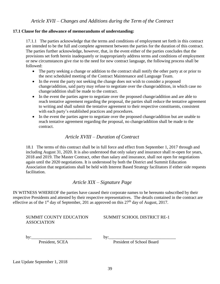#### <span id="page-38-1"></span><span id="page-38-0"></span>**17.1 Clause for the allowance of memorandums of understanding:**

17.1.1 The parties acknowledge that the terms and conditions of employment set forth in this contract are intended to be the full and complete agreement between the parties for the duration of this contract. The parties further acknowledge, however, that, in the event either of the parties concludes that the provisions set forth herein inadequately or inappropriately address terms and conditions of employment or new circumstances give rise to the need for new contract language, the following process shall be followed:

- The party seeking a change or addition to the contract shall notify the other party at or prior to the next scheduled meeting of the Contract Maintenance and Language Team.
- In the event the party not seeking the change does not wish to consider a proposed change/addition, said party may refuse to negotiate over the change/addition, in which case no change/addition shall be made to the contract.
- In the event the parties agree to negotiate over the proposed change/addition and are able to reach tentative agreement regarding the proposal, the parties shall reduce the tentative agreement to writing and shall submit the tentative agreement to their respective constituents, consistent with each party's established practices and procedures.
- In the event the parties agree to negotiate over the proposed change/addition but are unable to reach tentative agreement regarding the proposal, no change/addition shall be made to the contract.

# *Article XVIII – Duration of Contract*

<span id="page-38-2"></span>18.1 The terms of this contract shall be in full force and effect from September 1, 2017 through and including August 31, 2020. It is also understood that only salary and insurance shall re-open for years, 2018 and 2019. The Master Contract, other than salary and insurance, shall not open for negotiations again until the 2020 negotiations. It is understood by both the District and Summit Education Association that negotiations shall be held with Interest Based Strategy facilitators if either side requests facilitation.

# *Article XIX – Signature Page*

<span id="page-38-3"></span>IN WITNESS WHEREOF the parties have caused their corporate names to be hereunto subscribed by their respective Presidents and attested by their respective representatives. The details contained in the contract are effective as of the 1<sup>st</sup> day of September, 201 as approved on this  $27<sup>th</sup>$  day of August, 2017.

# ASSOCIATION

SUMMIT COUNTY EDUCATION SUMMIT SCHOOL DISTRICT RE-1

by:\_\_\_\_\_\_\_\_\_\_\_\_\_\_\_\_\_\_\_\_\_\_\_\_\_\_\_\_ by:\_\_\_\_\_\_\_\_\_\_\_\_\_\_\_\_\_\_\_\_\_\_\_\_\_\_\_\_\_\_\_

President, SCEA President of School Board

Last Update September 1, 2018